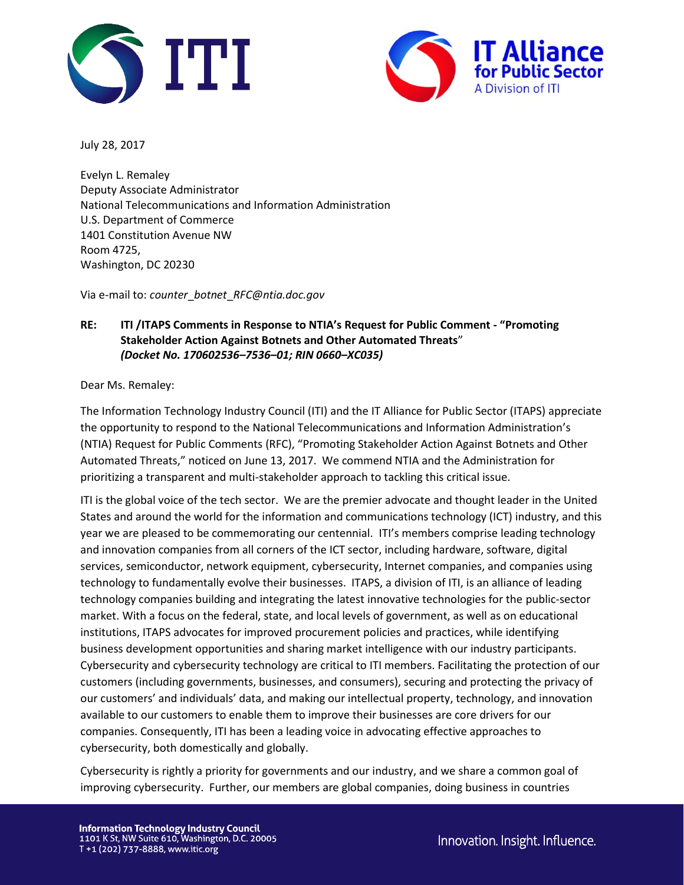



July 28, 2017

Evelyn L. Remaley Deputy Associate Administrator National Telecommunications and Information Administration U.S. Department of Commerce 1401 Constitution Avenue NW Room 4725, Washington, DC 20230

Via e-mail to: *counter*\_*botnet*\_*RFC@ntia.doc.gov*

# **RE: ITI /ITAPS Comments in Response to NTIA's Request for Public Comment - "Promoting Stakeholder Action Against Botnets and Other Automated Threats**" *(Docket No. 170602536–7536–01; RIN 0660–XC035)*

Dear Ms. Remaley:

The Information Technology Industry Council (ITI) and the IT Alliance for Public Sector (ITAPS) appreciate the opportunity to respond to the National Telecommunications and Information Administration's (NTIA) Request for Public Comments (RFC), "Promoting Stakeholder Action Against Botnets and Other Automated Threats," noticed on June 13, 2017. We commend NTIA and the Administration for prioritizing a transparent and multi-stakeholder approach to tackling this critical issue.

ITI is the global voice of the tech sector. We are the premier advocate and thought leader in the United States and around the world for the information and communications technology (ICT) industry, and this year we are pleased to be commemorating our centennial. ITI's members comprise leading technology and innovation companies from all corners of the ICT sector, including hardware, software, digital services, semiconductor, network equipment, cybersecurity, Internet companies, and companies using technology to fundamentally evolve their businesses. ITAPS, a division of ITI, is an alliance of leading technology companies building and integrating the latest innovative technologies for the public-sector market. With a focus on the federal, state, and local levels of government, as well as on educational institutions, ITAPS advocates for improved procurement policies and practices, while identifying business development opportunities and sharing market intelligence with our industry participants. Cybersecurity and cybersecurity technology are critical to ITI members. Facilitating the protection of our customers (including governments, businesses, and consumers), securing and protecting the privacy of our customers' and individuals' data, and making our intellectual property, technology, and innovation available to our customers to enable them to improve their businesses are core drivers for our companies. Consequently, ITI has been a leading voice in advocating effective approaches to cybersecurity, both domestically and globally.

Cybersecurity is rightly a priority for governments and our industry, and we share a common goal of improving cybersecurity. Further, our members are global companies, doing business in countries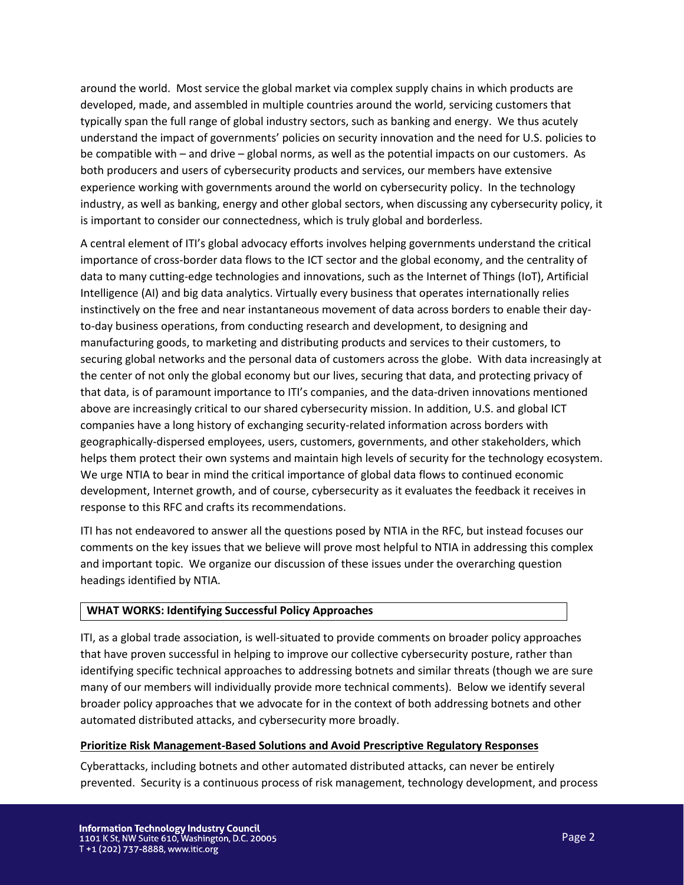around the world. Most service the global market via complex supply chains in which products are developed, made, and assembled in multiple countries around the world, servicing customers that typically span the full range of global industry sectors, such as banking and energy. We thus acutely understand the impact of governments' policies on security innovation and the need for U.S. policies to be compatible with – and drive – global norms, as well as the potential impacts on our customers. As both producers and users of cybersecurity products and services, our members have extensive experience working with governments around the world on cybersecurity policy. In the technology industry, as well as banking, energy and other global sectors, when discussing any cybersecurity policy, it is important to consider our connectedness, which is truly global and borderless.

A central element of ITI's global advocacy efforts involves helping governments understand the critical importance of cross-border data flows to the ICT sector and the global economy, and the centrality of data to many cutting-edge technologies and innovations, such as the Internet of Things (IoT), Artificial Intelligence (AI) and big data analytics. Virtually every business that operates internationally relies instinctively on the free and near instantaneous movement of data across borders to enable their dayto-day business operations, from conducting research and development, to designing and manufacturing goods, to marketing and distributing products and services to their customers, to securing global networks and the personal data of customers across the globe. With data increasingly at the center of not only the global economy but our lives, securing that data, and protecting privacy of that data, is of paramount importance to ITI's companies, and the data-driven innovations mentioned above are increasingly critical to our shared cybersecurity mission. In addition, U.S. and global ICT companies have a long history of exchanging security-related information across borders with geographically-dispersed employees, users, customers, governments, and other stakeholders, which helps them protect their own systems and maintain high levels of security for the technology ecosystem. We urge NTIA to bear in mind the critical importance of global data flows to continued economic development, Internet growth, and of course, cybersecurity as it evaluates the feedback it receives in response to this RFC and crafts its recommendations.

ITI has not endeavored to answer all the questions posed by NTIA in the RFC, but instead focuses our comments on the key issues that we believe will prove most helpful to NTIA in addressing this complex and important topic. We organize our discussion of these issues under the overarching question headings identified by NTIA.

# **WHAT WORKS: Identifying Successful Policy Approaches**

ITI, as a global trade association, is well-situated to provide comments on broader policy approaches that have proven successful in helping to improve our collective cybersecurity posture, rather than identifying specific technical approaches to addressing botnets and similar threats (though we are sure many of our members will individually provide more technical comments). Below we identify several broader policy approaches that we advocate for in the context of both addressing botnets and other automated distributed attacks, and cybersecurity more broadly.

# **Prioritize Risk Management-Based Solutions and Avoid Prescriptive Regulatory Responses**

Cyberattacks, including botnets and other automated distributed attacks, can never be entirely prevented. Security is a continuous process of risk management, technology development, and process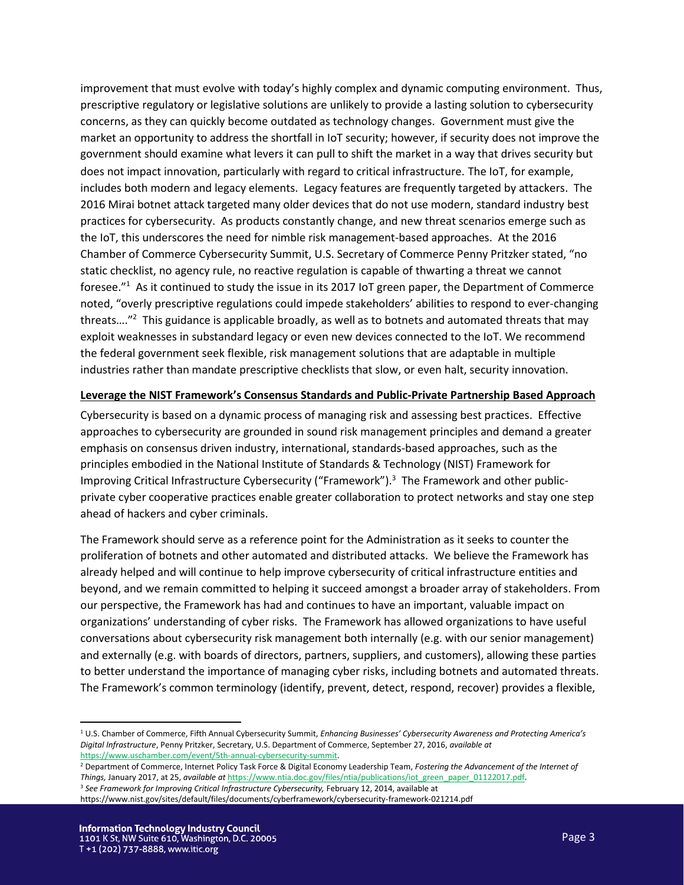improvement that must evolve with today's highly complex and dynamic computing environment. Thus, prescriptive regulatory or legislative solutions are unlikely to provide a lasting solution to cybersecurity concerns, as they can quickly become outdated as technology changes. Government must give the market an opportunity to address the shortfall in IoT security; however, if security does not improve the government should examine what levers it can pull to shift the market in a way that drives security but does not impact innovation, particularly with regard to critical infrastructure. The IoT, for example, includes both modern and legacy elements. Legacy features are frequently targeted by attackers. The 2016 Mirai botnet attack targeted many older devices that do not use modern, standard industry best practices for cybersecurity. As products constantly change, and new threat scenarios emerge such as the IoT, this underscores the need for nimble risk management-based approaches. At the 2016 Chamber of Commerce Cybersecurity Summit, U.S. Secretary of Commerce Penny Pritzker stated, "no static checklist, no agency rule, no reactive regulation is capable of thwarting a threat we cannot foresee."<sup>1</sup> As it continued to study the issue in its 2017 IoT green paper, the Department of Commerce noted, "overly prescriptive regulations could impede stakeholders' abilities to respond to ever-changing threats...."<sup>2</sup> This guidance is applicable broadly, as well as to botnets and automated threats that may exploit weaknesses in substandard legacy or even new devices connected to the IoT. We recommend the federal government seek flexible, risk management solutions that are adaptable in multiple industries rather than mandate prescriptive checklists that slow, or even halt, security innovation.

### **Leverage the NIST Framework's Consensus Standards and Public-Private Partnership Based Approach**

Cybersecurity is based on a dynamic process of managing risk and assessing best practices. Effective approaches to cybersecurity are grounded in sound risk management principles and demand a greater emphasis on consensus driven industry, international, standards-based approaches, such as the principles embodied in the National Institute of Standards & Technology (NIST) Framework for Improving Critical Infrastructure Cybersecurity ("Framework").<sup>3</sup> The Framework and other publicprivate cyber cooperative practices enable greater collaboration to protect networks and stay one step ahead of hackers and cyber criminals.

The Framework should serve as a reference point for the Administration as it seeks to counter the proliferation of botnets and other automated and distributed attacks. We believe the Framework has already helped and will continue to help improve cybersecurity of critical infrastructure entities and beyond, and we remain committed to helping it succeed amongst a broader array of stakeholders. From our perspective, the Framework has had and continues to have an important, valuable impact on organizations' understanding of cyber risks. The Framework has allowed organizations to have useful conversations about cybersecurity risk management both internally (e.g. with our senior management) and externally (e.g. with boards of directors, partners, suppliers, and customers), allowing these parties to better understand the importance of managing cyber risks, including botnets and automated threats. The Framework's common terminology (identify, prevent, detect, respond, recover) provides a flexible,

 $\overline{a}$ 

<sup>1</sup> U.S. Chamber of Commerce, Fifth Annual Cybersecurity Summit, *Enhancing Businesses' Cybersecurity Awareness and Protecting America's Digital Infrastructure*, Penny Pritzker, Secretary, U.S. Department of Commerce, September 27, 2016, *available at* [https://www.uschamber.com/event/5th-annual-cybersecurity-summit.](https://www.uschamber.com/event/5th-annual-cybersecurity-summit)

<sup>2</sup> Department of Commerce, Internet Policy Task Force & Digital Economy Leadership Team, *Fostering the Advancement of the Internet of Things,* January 2017, at 25, *available at* [https://www.ntia.doc.gov/files/ntia/publications/iot\\_green\\_paper\\_01122017.pdf.](https://www.ntia.doc.gov/files/ntia/publications/iot_green_paper_01122017.pdf) <sup>3</sup> *See Framework for Improving Critical Infrastructure Cybersecurity,* February 12, 2014, available at

https://www.nist.gov/sites/default/files/documents/cyberframework/cybersecurity-framework-021214.pdf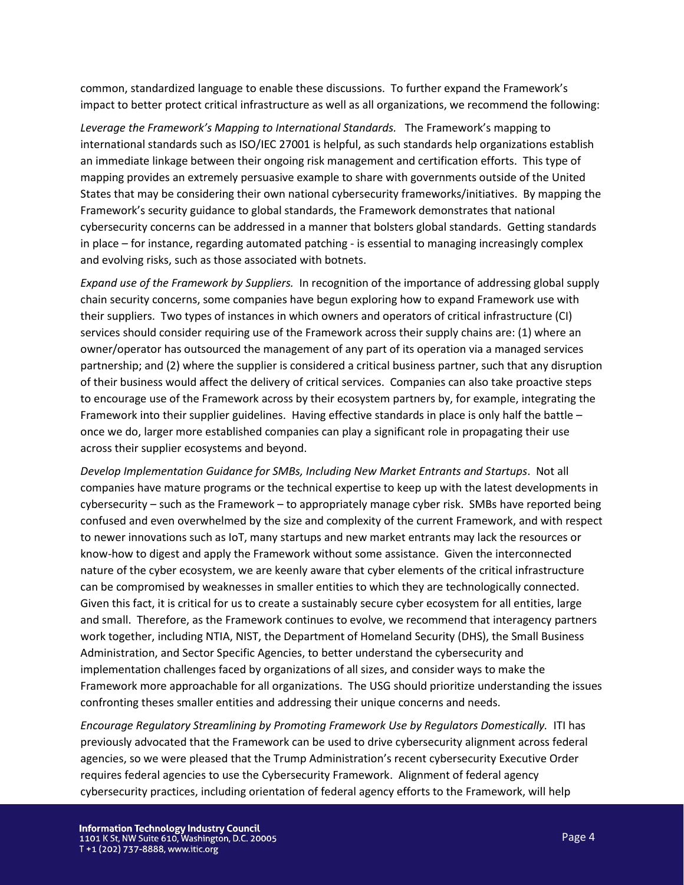common, standardized language to enable these discussions. To further expand the Framework's impact to better protect critical infrastructure as well as all organizations, we recommend the following:

*Leverage the Framework's Mapping to International Standards.* The Framework's mapping to international standards such as ISO/IEC 27001 is helpful, as such standards help organizations establish an immediate linkage between their ongoing risk management and certification efforts. This type of mapping provides an extremely persuasive example to share with governments outside of the United States that may be considering their own national cybersecurity frameworks/initiatives. By mapping the Framework's security guidance to global standards, the Framework demonstrates that national cybersecurity concerns can be addressed in a manner that bolsters global standards. Getting standards in place – for instance, regarding automated patching - is essential to managing increasingly complex and evolving risks, such as those associated with botnets.

*Expand use of the Framework by Suppliers.* In recognition of the importance of addressing global supply chain security concerns, some companies have begun exploring how to expand Framework use with their suppliers. Two types of instances in which owners and operators of critical infrastructure (CI) services should consider requiring use of the Framework across their supply chains are: (1) where an owner/operator has outsourced the management of any part of its operation via a managed services partnership; and (2) where the supplier is considered a critical business partner, such that any disruption of their business would affect the delivery of critical services. Companies can also take proactive steps to encourage use of the Framework across by their ecosystem partners by, for example, integrating the Framework into their supplier guidelines. Having effective standards in place is only half the battle – once we do, larger more established companies can play a significant role in propagating their use across their supplier ecosystems and beyond.

*Develop Implementation Guidance for SMBs, Including New Market Entrants and Startups*. Not all companies have mature programs or the technical expertise to keep up with the latest developments in cybersecurity – such as the Framework – to appropriately manage cyber risk. SMBs have reported being confused and even overwhelmed by the size and complexity of the current Framework, and with respect to newer innovations such as IoT, many startups and new market entrants may lack the resources or know-how to digest and apply the Framework without some assistance. Given the interconnected nature of the cyber ecosystem, we are keenly aware that cyber elements of the critical infrastructure can be compromised by weaknesses in smaller entities to which they are technologically connected. Given this fact, it is critical for us to create a sustainably secure cyber ecosystem for all entities, large and small. Therefore, as the Framework continues to evolve, we recommend that interagency partners work together, including NTIA, NIST, the Department of Homeland Security (DHS), the Small Business Administration, and Sector Specific Agencies, to better understand the cybersecurity and implementation challenges faced by organizations of all sizes, and consider ways to make the Framework more approachable for all organizations. The USG should prioritize understanding the issues confronting theses smaller entities and addressing their unique concerns and needs.

*Encourage Regulatory Streamlining by Promoting Framework Use by Regulators Domestically.* ITI has previously advocated that the Framework can be used to drive cybersecurity alignment across federal agencies, so we were pleased that the Trump Administration's recent cybersecurity Executive Order requires federal agencies to use the Cybersecurity Framework. Alignment of federal agency cybersecurity practices, including orientation of federal agency efforts to the Framework, will help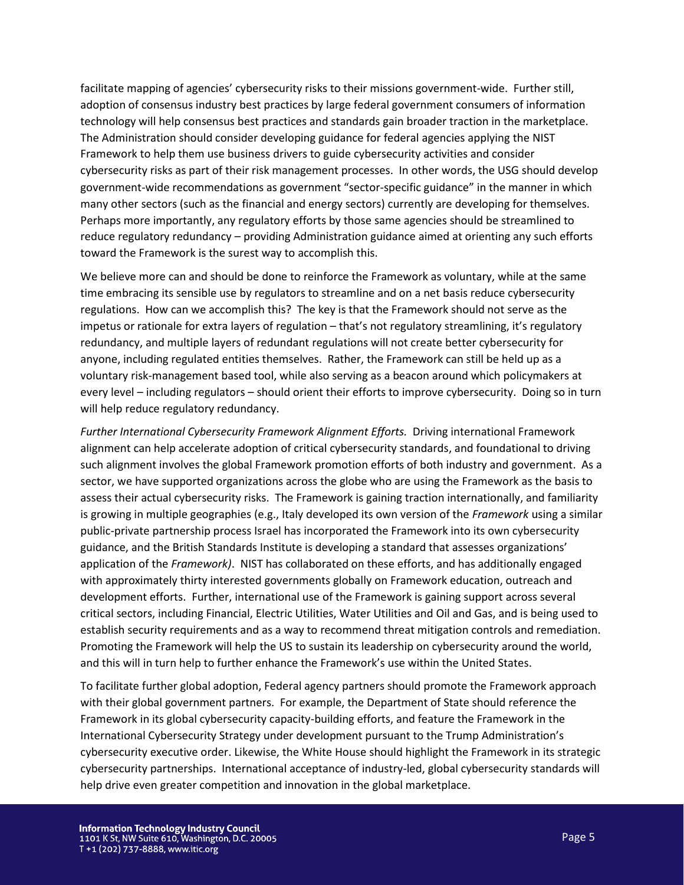facilitate mapping of agencies' cybersecurity risks to their missions government-wide. Further still, adoption of consensus industry best practices by large federal government consumers of information technology will help consensus best practices and standards gain broader traction in the marketplace. The Administration should consider developing guidance for federal agencies applying the NIST Framework to help them use business drivers to guide cybersecurity activities and consider cybersecurity risks as part of their risk management processes. In other words, the USG should develop government-wide recommendations as government "sector-specific guidance" in the manner in which many other sectors (such as the financial and energy sectors) currently are developing for themselves. Perhaps more importantly, any regulatory efforts by those same agencies should be streamlined to reduce regulatory redundancy – providing Administration guidance aimed at orienting any such efforts toward the Framework is the surest way to accomplish this.

We believe more can and should be done to reinforce the Framework as voluntary, while at the same time embracing its sensible use by regulators to streamline and on a net basis reduce cybersecurity regulations. How can we accomplish this? The key is that the Framework should not serve as the impetus or rationale for extra layers of regulation – that's not regulatory streamlining, it's regulatory redundancy, and multiple layers of redundant regulations will not create better cybersecurity for anyone, including regulated entities themselves. Rather, the Framework can still be held up as a voluntary risk-management based tool, while also serving as a beacon around which policymakers at every level – including regulators – should orient their efforts to improve cybersecurity. Doing so in turn will help reduce regulatory redundancy.

*Further International Cybersecurity Framework Alignment Efforts.* Driving international Framework alignment can help accelerate adoption of critical cybersecurity standards, and foundational to driving such alignment involves the global Framework promotion efforts of both industry and government. As a sector, we have supported organizations across the globe who are using the Framework as the basis to assess their actual cybersecurity risks. The Framework is gaining traction internationally, and familiarity is growing in multiple geographies (e.g., Italy developed its own version of the *Framework* using a similar public-private partnership process Israel has incorporated the Framework into its own cybersecurity guidance, and the British Standards Institute is developing a standard that assesses organizations' application of the *Framework)*. NIST has collaborated on these efforts, and has additionally engaged with approximately thirty interested governments globally on Framework education, outreach and development efforts. Further, international use of the Framework is gaining support across several critical sectors, including Financial, Electric Utilities, Water Utilities and Oil and Gas, and is being used to establish security requirements and as a way to recommend threat mitigation controls and remediation. Promoting the Framework will help the US to sustain its leadership on cybersecurity around the world, and this will in turn help to further enhance the Framework's use within the United States.

To facilitate further global adoption, Federal agency partners should promote the Framework approach with their global government partners. For example, the Department of State should reference the Framework in its global cybersecurity capacity-building efforts, and feature the Framework in the International Cybersecurity Strategy under development pursuant to the Trump Administration's cybersecurity executive order. Likewise, the White House should highlight the Framework in its strategic cybersecurity partnerships. International acceptance of industry-led, global cybersecurity standards will help drive even greater competition and innovation in the global marketplace.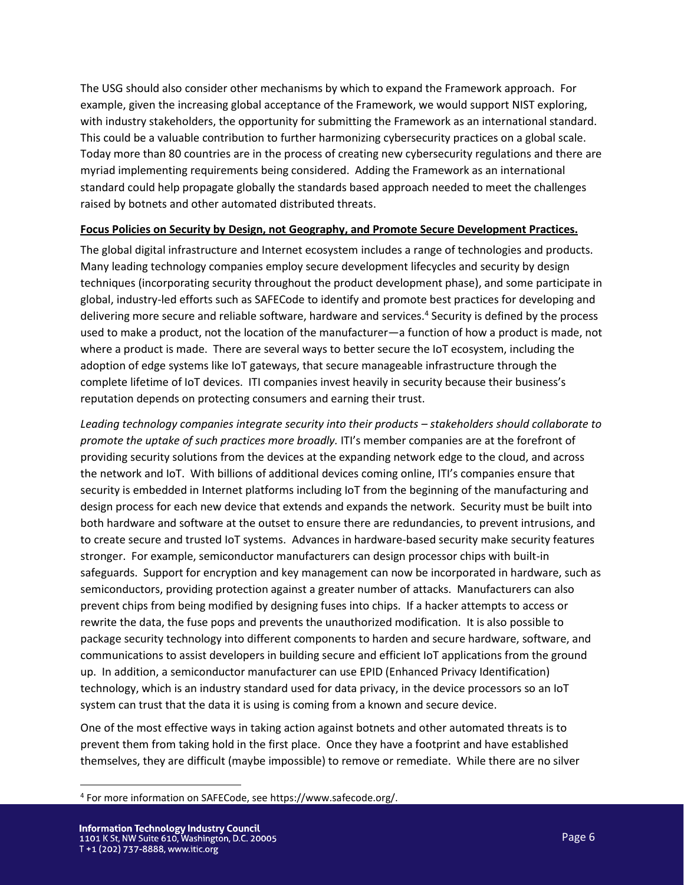The USG should also consider other mechanisms by which to expand the Framework approach. For example, given the increasing global acceptance of the Framework, we would support NIST exploring, with industry stakeholders, the opportunity for submitting the Framework as an international standard. This could be a valuable contribution to further harmonizing cybersecurity practices on a global scale. Today more than 80 countries are in the process of creating new cybersecurity regulations and there are myriad implementing requirements being considered. Adding the Framework as an international standard could help propagate globally the standards based approach needed to meet the challenges raised by botnets and other automated distributed threats.

## **Focus Policies on Security by Design, not Geography, and Promote Secure Development Practices.**

The global digital infrastructure and Internet ecosystem includes a range of technologies and products. Many leading technology companies employ secure development lifecycles and security by design techniques (incorporating security throughout the product development phase), and some participate in global, industry-led efforts such as SAFECode to identify and promote best practices for developing and delivering more secure and reliable software, hardware and services.<sup>4</sup> Security is defined by the process used to make a product, not the location of the manufacturer—a function of how a product is made, not where a product is made. There are several ways to better secure the IoT ecosystem, including the adoption of edge systems like IoT gateways, that secure manageable infrastructure through the complete lifetime of IoT devices. ITI companies invest heavily in security because their business's reputation depends on protecting consumers and earning their trust.

*Leading technology companies integrate security into their products – stakeholders should collaborate to promote the uptake of such practices more broadly.* ITI's member companies are at the forefront of providing security solutions from the devices at the expanding network edge to the cloud, and across the network and IoT. With billions of additional devices coming online, ITI's companies ensure that security is embedded in Internet platforms including IoT from the beginning of the manufacturing and design process for each new device that extends and expands the network. Security must be built into both hardware and software at the outset to ensure there are redundancies, to prevent intrusions, and to create secure and trusted IoT systems. Advances in hardware-based security make security features stronger. For example, semiconductor manufacturers can design processor chips with built-in safeguards. Support for encryption and key management can now be incorporated in hardware, such as semiconductors, providing protection against a greater number of attacks. Manufacturers can also prevent chips from being modified by designing fuses into chips. If a hacker attempts to access or rewrite the data, the fuse pops and prevents the unauthorized modification. It is also possible to package security technology into different components to harden and secure hardware, software, and communications to assist developers in building secure and efficient IoT applications from the ground up. In addition, a semiconductor manufacturer can use EPID (Enhanced Privacy Identification) technology, which is an industry standard used for data privacy, in the device processors so an IoT system can trust that the data it is using is coming from a known and secure device.

One of the most effective ways in taking action against botnets and other automated threats is to prevent them from taking hold in the first place. Once they have a footprint and have established themselves, they are difficult (maybe impossible) to remove or remediate. While there are no silver

 $\overline{\phantom{a}}$ 

<sup>4</sup> For more information on SAFECode, see https://www.safecode.org/.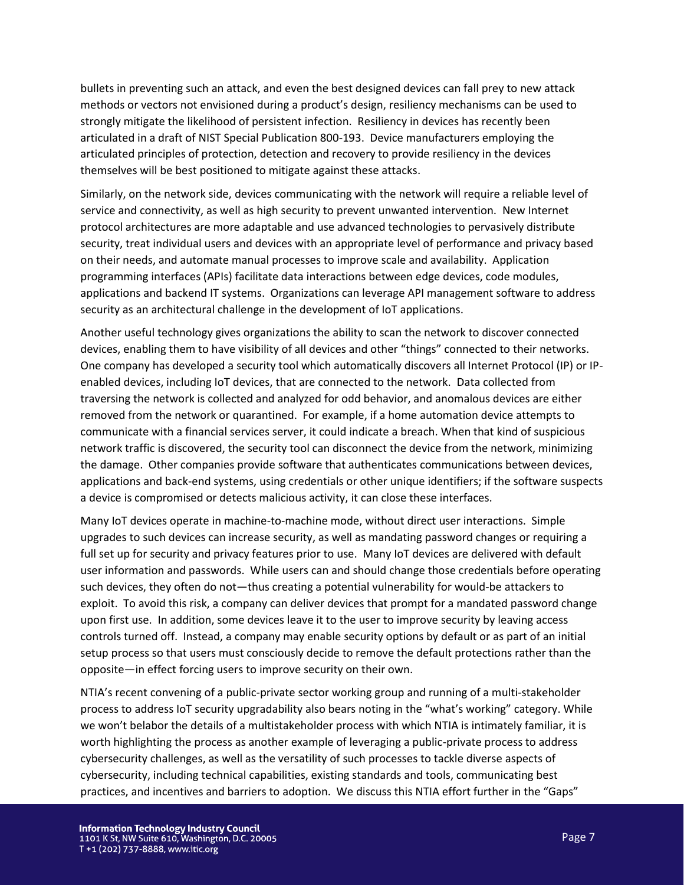bullets in preventing such an attack, and even the best designed devices can fall prey to new attack methods or vectors not envisioned during a product's design, resiliency mechanisms can be used to strongly mitigate the likelihood of persistent infection. Resiliency in devices has recently been articulated in a draft of NIST Special Publication 800-193. Device manufacturers employing the articulated principles of protection, detection and recovery to provide resiliency in the devices themselves will be best positioned to mitigate against these attacks.

Similarly, on the network side, devices communicating with the network will require a reliable level of service and connectivity, as well as high security to prevent unwanted intervention. New Internet protocol architectures are more adaptable and use advanced technologies to pervasively distribute security, treat individual users and devices with an appropriate level of performance and privacy based on their needs, and automate manual processes to improve scale and availability. Application programming interfaces (APIs) facilitate data interactions between edge devices, code modules, applications and backend IT systems. Organizations can leverage API management software to address security as an architectural challenge in the development of IoT applications.

Another useful technology gives organizations the ability to scan the network to discover connected devices, enabling them to have visibility of all devices and other "things" connected to their networks. One company has developed a security tool which automatically discovers all Internet Protocol (IP) or IPenabled devices, including IoT devices, that are connected to the network. Data collected from traversing the network is collected and analyzed for odd behavior, and anomalous devices are either removed from the network or quarantined. For example, if a home automation device attempts to communicate with a financial services server, it could indicate a breach. When that kind of suspicious network traffic is discovered, the security tool can disconnect the device from the network, minimizing the damage. Other companies provide software that authenticates communications between devices, applications and back-end systems, using credentials or other unique identifiers; if the software suspects a device is compromised or detects malicious activity, it can close these interfaces.

Many IoT devices operate in machine-to-machine mode, without direct user interactions. Simple upgrades to such devices can increase security, as well as mandating password changes or requiring a full set up for security and privacy features prior to use. Many IoT devices are delivered with default user information and passwords. While users can and should change those credentials before operating such devices, they often do not—thus creating a potential vulnerability for would-be attackers to exploit. To avoid this risk, a company can deliver devices that prompt for a mandated password change upon first use. In addition, some devices leave it to the user to improve security by leaving access controls turned off. Instead, a company may enable security options by default or as part of an initial setup process so that users must consciously decide to remove the default protections rather than the opposite—in effect forcing users to improve security on their own.

NTIA's recent convening of a public-private sector working group and running of a multi-stakeholder process to address IoT security upgradability also bears noting in the "what's working" category. While we won't belabor the details of a multistakeholder process with which NTIA is intimately familiar, it is worth highlighting the process as another example of leveraging a public-private process to address cybersecurity challenges, as well as the versatility of such processes to tackle diverse aspects of cybersecurity, including technical capabilities, existing standards and tools, communicating best practices, and incentives and barriers to adoption. We discuss this NTIA effort further in the "Gaps"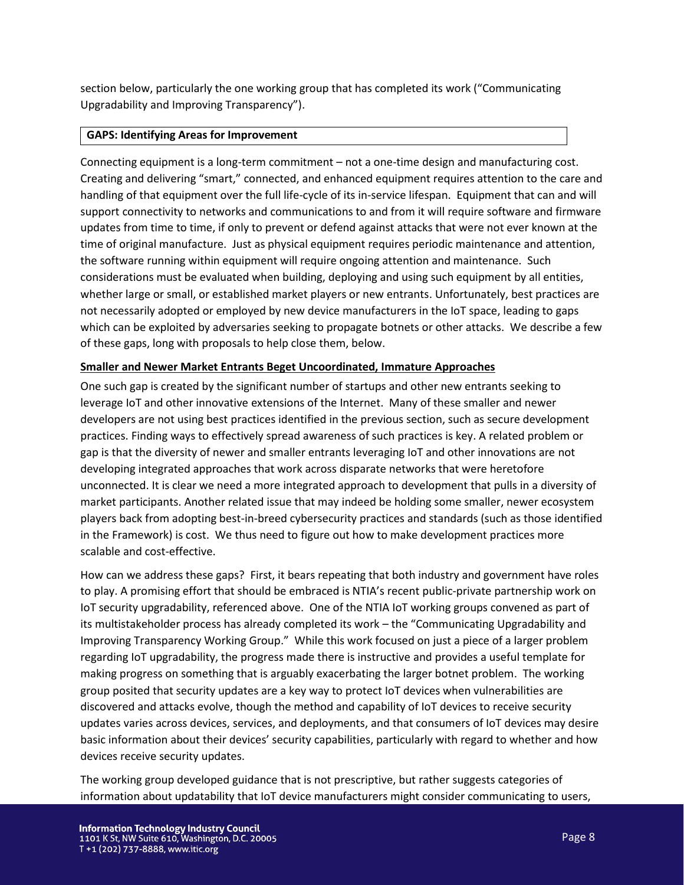section below, particularly the one working group that has completed its work ("Communicating Upgradability and Improving Transparency").

## **GAPS: Identifying Areas for Improvement**

Connecting equipment is a long-term commitment – not a one-time design and manufacturing cost. Creating and delivering "smart," connected, and enhanced equipment requires attention to the care and handling of that equipment over the full life-cycle of its in-service lifespan. Equipment that can and will support connectivity to networks and communications to and from it will require software and firmware updates from time to time, if only to prevent or defend against attacks that were not ever known at the time of original manufacture. Just as physical equipment requires periodic maintenance and attention, the software running within equipment will require ongoing attention and maintenance. Such considerations must be evaluated when building, deploying and using such equipment by all entities, whether large or small, or established market players or new entrants. Unfortunately, best practices are not necessarily adopted or employed by new device manufacturers in the IoT space, leading to gaps which can be exploited by adversaries seeking to propagate botnets or other attacks. We describe a few of these gaps, long with proposals to help close them, below.

## **Smaller and Newer Market Entrants Beget Uncoordinated, Immature Approaches**

One such gap is created by the significant number of startups and other new entrants seeking to leverage IoT and other innovative extensions of the Internet. Many of these smaller and newer developers are not using best practices identified in the previous section, such as secure development practices. Finding ways to effectively spread awareness of such practices is key. A related problem or gap is that the diversity of newer and smaller entrants leveraging IoT and other innovations are not developing integrated approaches that work across disparate networks that were heretofore unconnected. It is clear we need a more integrated approach to development that pulls in a diversity of market participants. Another related issue that may indeed be holding some smaller, newer ecosystem players back from adopting best-in-breed cybersecurity practices and standards (such as those identified in the Framework) is cost. We thus need to figure out how to make development practices more scalable and cost-effective.

How can we address these gaps? First, it bears repeating that both industry and government have roles to play. A promising effort that should be embraced is NTIA's recent public-private partnership work on IoT security upgradability, referenced above. One of the NTIA IoT working groups convened as part of its multistakeholder process has already completed its work – the "Communicating Upgradability and Improving Transparency Working Group." While this work focused on just a piece of a larger problem regarding IoT upgradability, the progress made there is instructive and provides a useful template for making progress on something that is arguably exacerbating the larger botnet problem. The working group posited that security updates are a key way to protect IoT devices when vulnerabilities are discovered and attacks evolve, though the method and capability of IoT devices to receive security updates varies across devices, services, and deployments, and that consumers of IoT devices may desire basic information about their devices' security capabilities, particularly with regard to whether and how devices receive security updates.

The working group developed guidance that is not prescriptive, but rather suggests categories of information about updatability that IoT device manufacturers might consider communicating to users,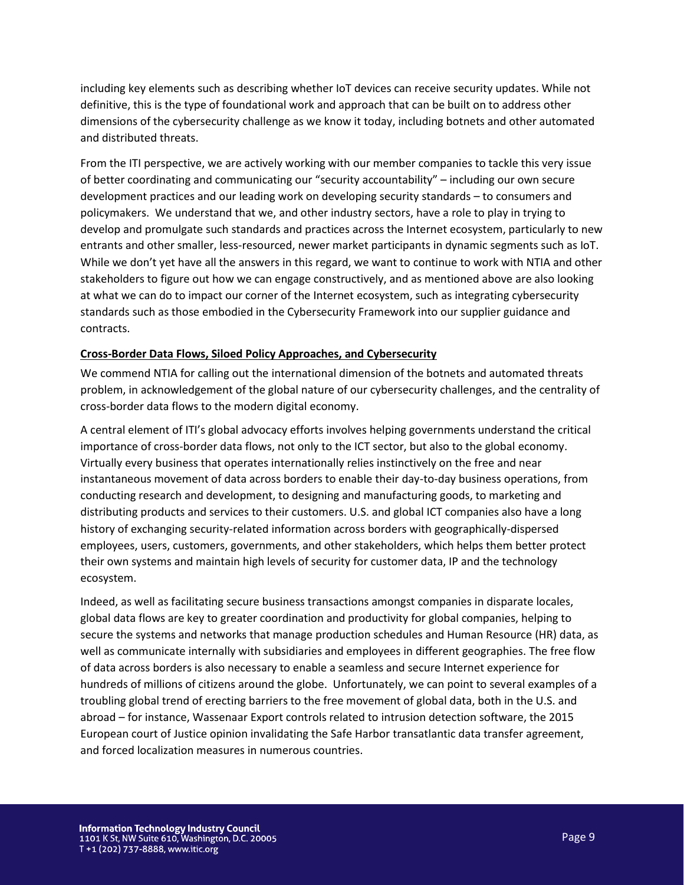including key elements such as describing whether IoT devices can receive security updates. While not definitive, this is the type of foundational work and approach that can be built on to address other dimensions of the cybersecurity challenge as we know it today, including botnets and other automated and distributed threats.

From the ITI perspective, we are actively working with our member companies to tackle this very issue of better coordinating and communicating our "security accountability" – including our own secure development practices and our leading work on developing security standards – to consumers and policymakers. We understand that we, and other industry sectors, have a role to play in trying to develop and promulgate such standards and practices across the Internet ecosystem, particularly to new entrants and other smaller, less-resourced, newer market participants in dynamic segments such as IoT. While we don't yet have all the answers in this regard, we want to continue to work with NTIA and other stakeholders to figure out how we can engage constructively, and as mentioned above are also looking at what we can do to impact our corner of the Internet ecosystem, such as integrating cybersecurity standards such as those embodied in the Cybersecurity Framework into our supplier guidance and contracts.

### **Cross-Border Data Flows, Siloed Policy Approaches, and Cybersecurity**

We commend NTIA for calling out the international dimension of the botnets and automated threats problem, in acknowledgement of the global nature of our cybersecurity challenges, and the centrality of cross-border data flows to the modern digital economy.

A central element of ITI's global advocacy efforts involves helping governments understand the critical importance of cross-border data flows, not only to the ICT sector, but also to the global economy. Virtually every business that operates internationally relies instinctively on the free and near instantaneous movement of data across borders to enable their day-to-day business operations, from conducting research and development, to designing and manufacturing goods, to marketing and distributing products and services to their customers. U.S. and global ICT companies also have a long history of exchanging security-related information across borders with geographically-dispersed employees, users, customers, governments, and other stakeholders, which helps them better protect their own systems and maintain high levels of security for customer data, IP and the technology ecosystem.

Indeed, as well as facilitating secure business transactions amongst companies in disparate locales, global data flows are key to greater coordination and productivity for global companies, helping to secure the systems and networks that manage production schedules and Human Resource (HR) data, as well as communicate internally with subsidiaries and employees in different geographies. The free flow of data across borders is also necessary to enable a seamless and secure Internet experience for hundreds of millions of citizens around the globe. Unfortunately, we can point to several examples of a troubling global trend of erecting barriers to the free movement of global data, both in the U.S. and abroad – for instance, Wassenaar Export controls related to intrusion detection software, the 2015 European court of Justice opinion invalidating the Safe Harbor transatlantic data transfer agreement, and forced localization measures in numerous countries.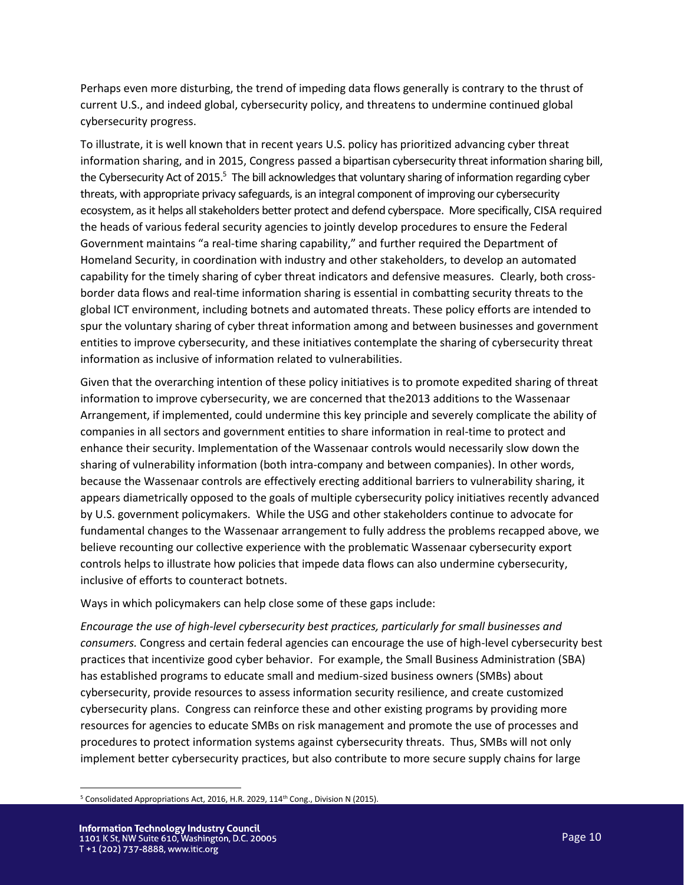Perhaps even more disturbing, the trend of impeding data flows generally is contrary to the thrust of current U.S., and indeed global, cybersecurity policy, and threatens to undermine continued global cybersecurity progress.

To illustrate, it is well known that in recent years U.S. policy has prioritized advancing cyber threat information sharing, and in 2015, Congress passed a bipartisan cybersecurity threat information sharing bill, the Cybersecurity Act of 2015.<sup>5</sup> The bill acknowledges that voluntary sharing of information regarding cyber threats, with appropriate privacy safeguards, is an integral component of improving our cybersecurity ecosystem, as it helps all stakeholders better protect and defend cyberspace. More specifically, CISA required the heads of various federal security agencies to jointly develop procedures to ensure the Federal Government maintains "a real-time sharing capability," and further required the Department of Homeland Security, in coordination with industry and other stakeholders, to develop an automated capability for the timely sharing of cyber threat indicators and defensive measures. Clearly, both crossborder data flows and real-time information sharing is essential in combatting security threats to the global ICT environment, including botnets and automated threats. These policy efforts are intended to spur the voluntary sharing of cyber threat information among and between businesses and government entities to improve cybersecurity, and these initiatives contemplate the sharing of cybersecurity threat information as inclusive of information related to vulnerabilities.

Given that the overarching intention of these policy initiatives is to promote expedited sharing of threat information to improve cybersecurity, we are concerned that the2013 additions to the Wassenaar Arrangement, if implemented, could undermine this key principle and severely complicate the ability of companies in all sectors and government entities to share information in real-time to protect and enhance their security. Implementation of the Wassenaar controls would necessarily slow down the sharing of vulnerability information (both intra-company and between companies). In other words, because the Wassenaar controls are effectively erecting additional barriers to vulnerability sharing, it appears diametrically opposed to the goals of multiple cybersecurity policy initiatives recently advanced by U.S. government policymakers. While the USG and other stakeholders continue to advocate for fundamental changes to the Wassenaar arrangement to fully address the problems recapped above, we believe recounting our collective experience with the problematic Wassenaar cybersecurity export controls helps to illustrate how policies that impede data flows can also undermine cybersecurity, inclusive of efforts to counteract botnets.

Ways in which policymakers can help close some of these gaps include:

*Encourage the use of high-level cybersecurity best practices, particularly for small businesses and consumers.* Congress and certain federal agencies can encourage the use of high-level cybersecurity best practices that incentivize good cyber behavior. For example, the Small Business Administration (SBA) has established programs to educate small and medium-sized business owners (SMBs) about cybersecurity, provide resources to assess information security resilience, and create customized cybersecurity plans. Congress can reinforce these and other existing programs by providing more resources for agencies to educate SMBs on risk management and promote the use of processes and procedures to protect information systems against cybersecurity threats. Thus, SMBs will not only implement better cybersecurity practices, but also contribute to more secure supply chains for large

 $\overline{\phantom{a}}$ <sup>5</sup> Consolidated Appropriations Act, 2016, H.R. 2029, 114<sup>th</sup> Cong., Division N (2015).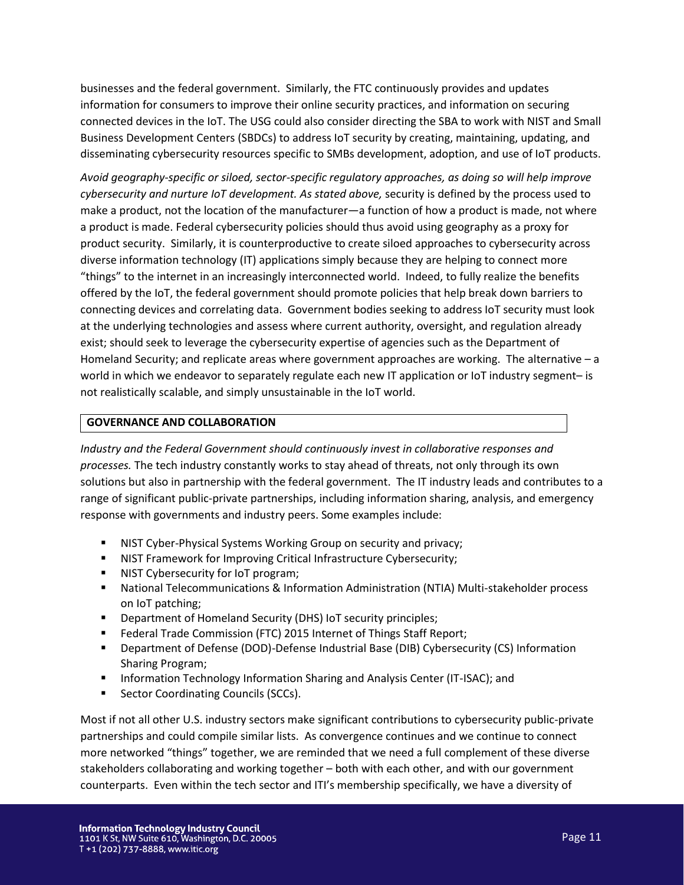businesses and the federal government. Similarly, the FTC continuously provides and updates information for consumers to improve their online security practices, and information on securing connected devices in the IoT. The USG could also consider directing the SBA to work with NIST and Small Business Development Centers (SBDCs) to address IoT security by creating, maintaining, updating, and disseminating cybersecurity resources specific to SMBs development, adoption, and use of IoT products.

*Avoid geography-specific or siloed, sector-specific regulatory approaches, as doing so will help improve cybersecurity and nurture IoT development. As stated above,* security is defined by the process used to make a product, not the location of the manufacturer—a function of how a product is made, not where a product is made. Federal cybersecurity policies should thus avoid using geography as a proxy for product security. Similarly, it is counterproductive to create siloed approaches to cybersecurity across diverse information technology (IT) applications simply because they are helping to connect more "things" to the internet in an increasingly interconnected world. Indeed, to fully realize the benefits offered by the IoT, the federal government should promote policies that help break down barriers to connecting devices and correlating data. Government bodies seeking to address IoT security must look at the underlying technologies and assess where current authority, oversight, and regulation already exist; should seek to leverage the cybersecurity expertise of agencies such as the Department of Homeland Security; and replicate areas where government approaches are working. The alternative – a world in which we endeavor to separately regulate each new IT application or IoT industry segment- is not realistically scalable, and simply unsustainable in the IoT world.

## **GOVERNANCE AND COLLABORATION**

*Industry and the Federal Government should continuously invest in collaborative responses and processes.* The tech industry constantly works to stay ahead of threats, not only through its own solutions but also in partnership with the federal government. The IT industry leads and contributes to a range of significant public-private partnerships, including information sharing, analysis, and emergency response with governments and industry peers. Some examples include:

- **■** NIST Cyber-Physical Systems Working Group on security and privacy;
- **■** NIST Framework for Improving Critical Infrastructure Cybersecurity;
- NIST Cybersecurity for IoT program;
- National Telecommunications & Information Administration (NTIA) Multi-stakeholder process on IoT patching;
- Department of Homeland Security (DHS) IoT security principles;
- Federal Trade Commission (FTC) 2015 Internet of Things Staff Report;
- Department of Defense (DOD)-Defense Industrial Base (DIB) Cybersecurity (CS) Information Sharing Program;
- Information Technology Information Sharing and Analysis Center (IT-ISAC); and
- Sector Coordinating Councils (SCCs).

Most if not all other U.S. industry sectors make significant contributions to cybersecurity public-private partnerships and could compile similar lists. As convergence continues and we continue to connect more networked "things" together, we are reminded that we need a full complement of these diverse stakeholders collaborating and working together – both with each other, and with our government counterparts. Even within the tech sector and ITI's membership specifically, we have a diversity of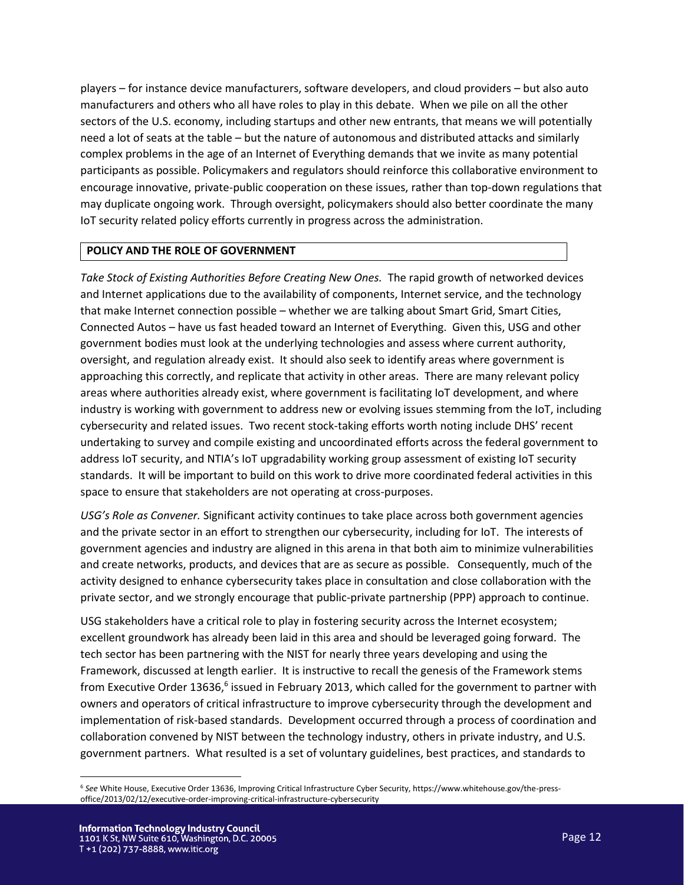players – for instance device manufacturers, software developers, and cloud providers – but also auto manufacturers and others who all have roles to play in this debate. When we pile on all the other sectors of the U.S. economy, including startups and other new entrants, that means we will potentially need a lot of seats at the table – but the nature of autonomous and distributed attacks and similarly complex problems in the age of an Internet of Everything demands that we invite as many potential participants as possible. Policymakers and regulators should reinforce this collaborative environment to encourage innovative, private-public cooperation on these issues, rather than top-down regulations that may duplicate ongoing work. Through oversight, policymakers should also better coordinate the many IoT security related policy efforts currently in progress across the administration.

## **POLICY AND THE ROLE OF GOVERNMENT**

*Take Stock of Existing Authorities Before Creating New Ones.* The rapid growth of networked devices and Internet applications due to the availability of components, Internet service, and the technology that make Internet connection possible – whether we are talking about Smart Grid, Smart Cities, Connected Autos – have us fast headed toward an Internet of Everything. Given this, USG and other government bodies must look at the underlying technologies and assess where current authority, oversight, and regulation already exist. It should also seek to identify areas where government is approaching this correctly, and replicate that activity in other areas. There are many relevant policy areas where authorities already exist, where government is facilitating IoT development, and where industry is working with government to address new or evolving issues stemming from the IoT, including cybersecurity and related issues. Two recent stock-taking efforts worth noting include DHS' recent undertaking to survey and compile existing and uncoordinated efforts across the federal government to address IoT security, and NTIA's IoT upgradability working group assessment of existing IoT security standards. It will be important to build on this work to drive more coordinated federal activities in this space to ensure that stakeholders are not operating at cross-purposes.

*USG's Role as Convener.* Significant activity continues to take place across both government agencies and the private sector in an effort to strengthen our cybersecurity, including for IoT. The interests of government agencies and industry are aligned in this arena in that both aim to minimize vulnerabilities and create networks, products, and devices that are as secure as possible. Consequently, much of the activity designed to enhance cybersecurity takes place in consultation and close collaboration with the private sector, and we strongly encourage that public-private partnership (PPP) approach to continue.

USG stakeholders have a critical role to play in fostering security across the Internet ecosystem; excellent groundwork has already been laid in this area and should be leveraged going forward. The tech sector has been partnering with the NIST for nearly three years developing and using the Framework, discussed at length earlier. It is instructive to recall the genesis of the Framework stems from Executive Order 13636,<sup>6</sup> issued in February 2013, which called for the government to partner with owners and operators of critical infrastructure to improve cybersecurity through the development and implementation of risk-based standards. Development occurred through a process of coordination and collaboration convened by NIST between the technology industry, others in private industry, and U.S. government partners. What resulted is a set of voluntary guidelines, best practices, and standards to

 $\overline{\phantom{a}}$ 

<sup>6</sup> *See* White House, Executive Order 13636, Improving Critical Infrastructure Cyber Security, https://www.whitehouse.gov/the-pressoffice/2013/02/12/executive-order-improving-critical-infrastructure-cybersecurity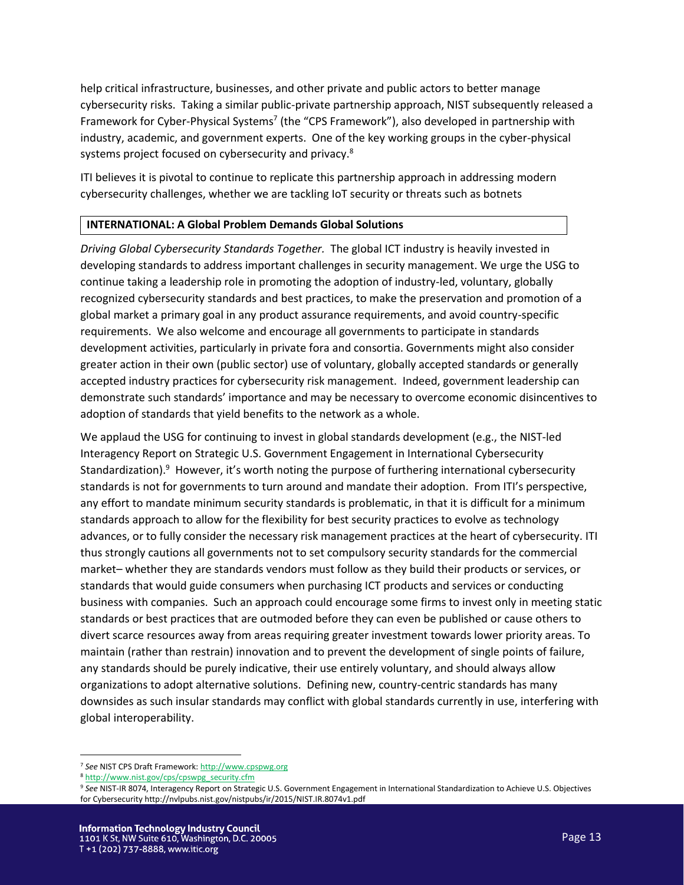help critical infrastructure, businesses, and other private and public actors to better manage cybersecurity risks. Taking a similar public-private partnership approach, NIST subsequently released a Framework for Cyber-Physical Systems<sup>7</sup> (the "CPS Framework"), also developed in partnership with industry, academic, and government experts. One of the key working groups in the cyber-physical systems project focused on cybersecurity and privacy.<sup>8</sup>

ITI believes it is pivotal to continue to replicate this partnership approach in addressing modern cybersecurity challenges, whether we are tackling IoT security or threats such as botnets

## **INTERNATIONAL: A Global Problem Demands Global Solutions**

*Driving Global Cybersecurity Standards Together.* The global ICT industry is heavily invested in developing standards to address important challenges in security management. We urge the USG to continue taking a leadership role in promoting the adoption of industry-led, voluntary, globally recognized cybersecurity standards and best practices, to make the preservation and promotion of a global market a primary goal in any product assurance requirements, and avoid country-specific requirements. We also welcome and encourage all governments to participate in standards development activities, particularly in private fora and consortia. Governments might also consider greater action in their own (public sector) use of voluntary, globally accepted standards or generally accepted industry practices for cybersecurity risk management. Indeed, government leadership can demonstrate such standards' importance and may be necessary to overcome economic disincentives to adoption of standards that yield benefits to the network as a whole.

We applaud the USG for continuing to invest in global standards development (e.g., the NIST-led Interagency Report on Strategic U.S. Government Engagement in International Cybersecurity Standardization).<sup>9</sup> However, it's worth noting the purpose of furthering international cybersecurity standards is not for governments to turn around and mandate their adoption. From ITI's perspective, any effort to mandate minimum security standards is problematic, in that it is difficult for a minimum standards approach to allow for the flexibility for best security practices to evolve as technology advances, or to fully consider the necessary risk management practices at the heart of cybersecurity. ITI thus strongly cautions all governments not to set compulsory security standards for the commercial market– whether they are standards vendors must follow as they build their products or services, or standards that would guide consumers when purchasing ICT products and services or conducting business with companies. Such an approach could encourage some firms to invest only in meeting static standards or best practices that are outmoded before they can even be published or cause others to divert scarce resources away from areas requiring greater investment towards lower priority areas. To maintain (rather than restrain) innovation and to prevent the development of single points of failure, any standards should be purely indicative, their use entirely voluntary, and should always allow organizations to adopt alternative solutions. Defining new, country-centric standards has many downsides as such insular standards may conflict with global standards currently in use, interfering with global interoperability.

l

<sup>7</sup> *See* NIST CPS Draft Framework[: http://www.cpspwg.org](http://www.cpspwg.org/) 

<sup>8</sup> [http://www.nist.gov/cps/cpswpg\\_security.cfm](http://www.nist.gov/cps/cpswpg_security.cfm)

<sup>9</sup> *See* NIST-IR 8074, Interagency Report on Strategic U.S. Government Engagement in International Standardization to Achieve U.S. Objectives for Cybersecurity http://nvlpubs.nist.gov/nistpubs/ir/2015/NIST.IR.8074v1.pdf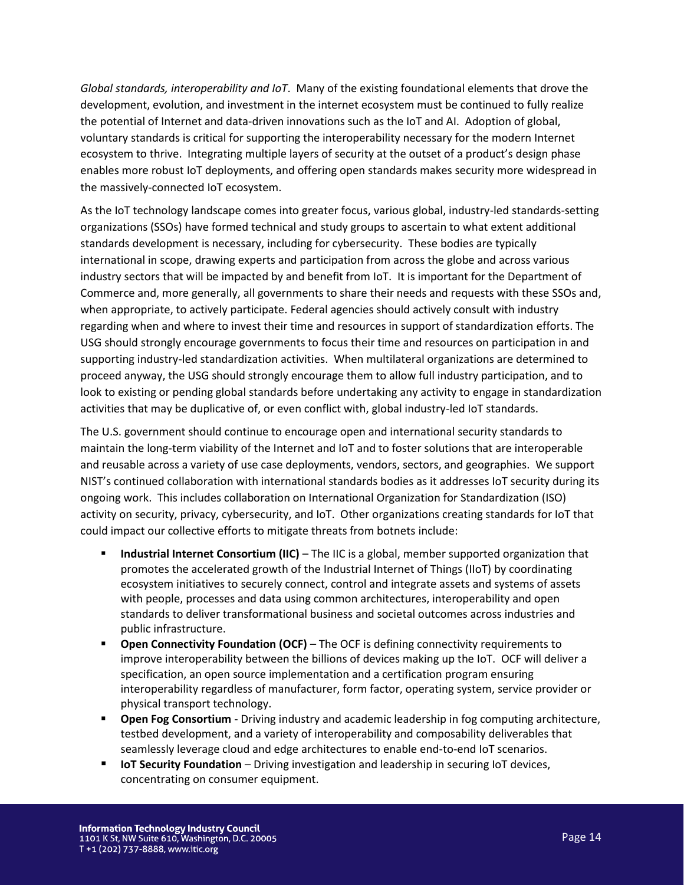*Global standards, interoperability and IoT*. Many of the existing foundational elements that drove the development, evolution, and investment in the internet ecosystem must be continued to fully realize the potential of Internet and data-driven innovations such as the IoT and AI. Adoption of global, voluntary standards is critical for supporting the interoperability necessary for the modern Internet ecosystem to thrive. Integrating multiple layers of security at the outset of a product's design phase enables more robust IoT deployments, and offering open standards makes security more widespread in the massively-connected IoT ecosystem.

As the IoT technology landscape comes into greater focus, various global, industry-led standards-setting organizations (SSOs) have formed technical and study groups to ascertain to what extent additional standards development is necessary, including for cybersecurity. These bodies are typically international in scope, drawing experts and participation from across the globe and across various industry sectors that will be impacted by and benefit from IoT. It is important for the Department of Commerce and, more generally, all governments to share their needs and requests with these SSOs and, when appropriate, to actively participate. Federal agencies should actively consult with industry regarding when and where to invest their time and resources in support of standardization efforts. The USG should strongly encourage governments to focus their time and resources on participation in and supporting industry-led standardization activities. When multilateral organizations are determined to proceed anyway, the USG should strongly encourage them to allow full industry participation, and to look to existing or pending global standards before undertaking any activity to engage in standardization activities that may be duplicative of, or even conflict with, global industry-led IoT standards.

The U.S. government should continue to encourage open and international security standards to maintain the long-term viability of the Internet and IoT and to foster solutions that are interoperable and reusable across a variety of use case deployments, vendors, sectors, and geographies. We support NIST's continued collaboration with international standards bodies as it addresses IoT security during its ongoing work. This includes collaboration on International Organization for Standardization (ISO) activity on security, privacy, cybersecurity, and IoT. Other organizations creating standards for IoT that could impact our collective efforts to mitigate threats from botnets include:

- **Industrial Internet Consortium (IIC)** The IIC is a global, member supported organization that promotes the accelerated growth of the Industrial Internet of Things (IIoT) by coordinating ecosystem initiatives to securely connect, control and integrate assets and systems of assets with people, processes and data using common architectures, interoperability and open standards to deliver transformational business and societal outcomes across industries and public infrastructure.
- **Open Connectivity Foundation (OCF)** The OCF is defining connectivity requirements to improve interoperability between the billions of devices making up the IoT. OCF will deliver a specification, an open source implementation and a certification program ensuring interoperability regardless of manufacturer, form factor, operating system, service provider or physical transport technology.
- **Open Fog Consortium** Driving industry and academic leadership in fog computing architecture, testbed development, and a variety of interoperability and composability deliverables that seamlessly leverage cloud and edge architectures to enable end-to-end IoT scenarios.
- **IoT Security Foundation** Driving investigation and leadership in securing IoT devices, concentrating on consumer equipment.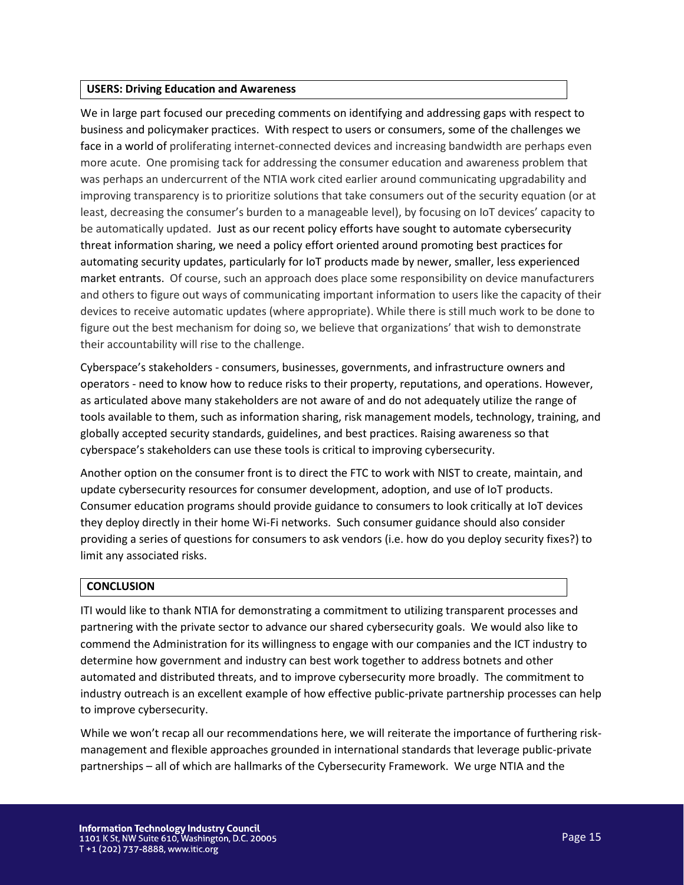#### **USERS: Driving Education and Awareness**

We in large part focused our preceding comments on identifying and addressing gaps with respect to business and policymaker practices. With respect to users or consumers, some of the challenges we face in a world of proliferating internet-connected devices and increasing bandwidth are perhaps even more acute. One promising tack for addressing the consumer education and awareness problem that was perhaps an undercurrent of the NTIA work cited earlier around communicating upgradability and improving transparency is to prioritize solutions that take consumers out of the security equation (or at least, decreasing the consumer's burden to a manageable level), by focusing on IoT devices' capacity to be automatically updated. Just as our recent policy efforts have sought to automate cybersecurity threat information sharing, we need a policy effort oriented around promoting best practices for automating security updates, particularly for IoT products made by newer, smaller, less experienced market entrants. Of course, such an approach does place some responsibility on device manufacturers and others to figure out ways of communicating important information to users like the capacity of their devices to receive automatic updates (where appropriate). While there is still much work to be done to figure out the best mechanism for doing so, we believe that organizations' that wish to demonstrate their accountability will rise to the challenge.

Cyberspace's stakeholders - consumers, businesses, governments, and infrastructure owners and operators - need to know how to reduce risks to their property, reputations, and operations. However, as articulated above many stakeholders are not aware of and do not adequately utilize the range of tools available to them, such as information sharing, risk management models, technology, training, and globally accepted security standards, guidelines, and best practices. Raising awareness so that cyberspace's stakeholders can use these tools is critical to improving cybersecurity.

Another option on the consumer front is to direct the FTC to work with NIST to create, maintain, and update cybersecurity resources for consumer development, adoption, and use of IoT products. Consumer education programs should provide guidance to consumers to look critically at IoT devices they deploy directly in their home Wi-Fi networks. Such consumer guidance should also consider providing a series of questions for consumers to ask vendors (i.e. how do you deploy security fixes?) to limit any associated risks.

### **CONCLUSION**

ITI would like to thank NTIA for demonstrating a commitment to utilizing transparent processes and partnering with the private sector to advance our shared cybersecurity goals. We would also like to commend the Administration for its willingness to engage with our companies and the ICT industry to determine how government and industry can best work together to address botnets and other automated and distributed threats, and to improve cybersecurity more broadly. The commitment to industry outreach is an excellent example of how effective public-private partnership processes can help to improve cybersecurity.

While we won't recap all our recommendations here, we will reiterate the importance of furthering riskmanagement and flexible approaches grounded in international standards that leverage public-private partnerships – all of which are hallmarks of the Cybersecurity Framework. We urge NTIA and the